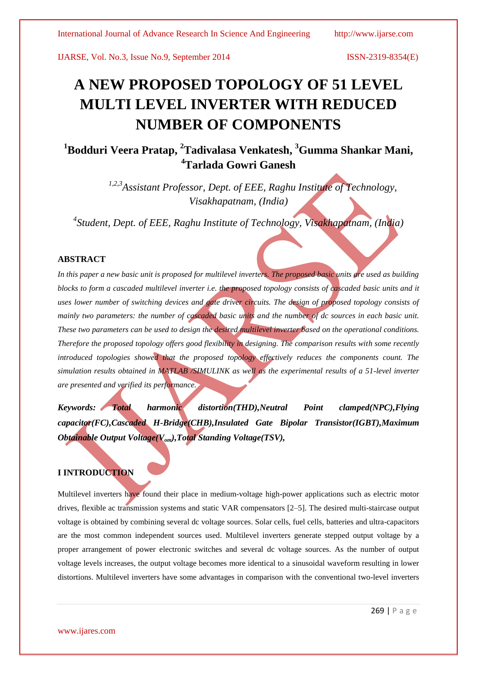# **A NEW PROPOSED TOPOLOGY OF 51 LEVEL MULTI LEVEL INVERTER WITH REDUCED NUMBER OF COMPONENTS**

## **<sup>1</sup>Bodduri Veera Pratap, <sup>2</sup>Tadivalasa Venkatesh, <sup>3</sup>Gumma Shankar Mani, <sup>4</sup>Tarlada Gowri Ganesh**

*1,2,3Assistant Professor, Dept. of EEE, Raghu Institute of Technology, Visakhapatnam, (India)*

*4 Student, Dept. of EEE, Raghu Institute of Technology, Visakhapatnam, (India)*

### **ABSTRACT**

*In this paper a new basic unit is proposed for multilevel inverters. The proposed basic units are used as building blocks to form a cascaded multilevel inverter i.e. the proposed topology consists of cascaded basic units and it uses lower number of switching devices and gate driver circuits. The design of proposed topology consists of mainly two parameters: the number of cascaded basic units and the number of dc sources in each basic unit. These two parameters can be used to design the desired multilevel inverter based on the operational conditions. Therefore the proposed topology offers good flexibility in designing. The comparison results with some recently introduced topologies showed that the proposed topology effectively reduces the components count. The simulation results obtained in MATLAB /SIMULINK as well as the experimental results of a 51-level inverter are presented and verified its performance.*

*Keywords: Total harmonic distortion(THD),Neutral Point clamped(NPC),Flying capacitor(FC),Cascaded H-Bridge(CHB),Insulated Gate Bipolar Transistor(IGBT),Maximum Obtainable Output Voltage(Vom),Total Standing Voltage(TSV),*

### **I INTRODUCTION**

Multilevel inverters have found their place in medium-voltage high-power applications such as electric motor drives, flexible ac transmission systems and static VAR compensators [2–5]. The desired multi-staircase output voltage is obtained by combining several dc voltage sources. Solar cells, fuel cells, batteries and ultra-capacitors are the most common independent sources used. Multilevel inverters generate stepped output voltage by a proper arrangement of power electronic switches and several dc voltage sources. As the number of output voltage levels increases, the output voltage becomes more identical to a sinusoidal waveform resulting in lower distortions. Multilevel inverters have some advantages in comparison with the conventional two-level inverters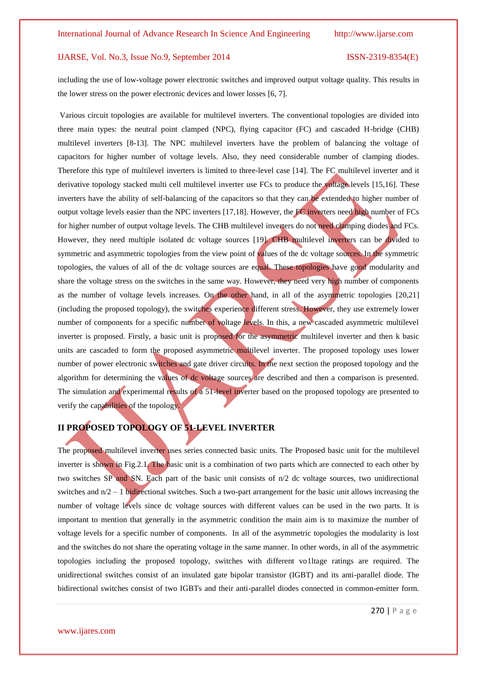including the use of low-voltage power electronic switches and improved output voltage quality. This results in the lower stress on the power electronic devices and lower losses [6, 7].

Various circuit topologies are available for multilevel inverters. The conventional topologies are divided into three main types: the neutral point clamped (NPC), flying capacitor (FC) and cascaded H-bridge (CHB) multilevel inverters [8-13]. The NPC multilevel inverters have the problem of balancing the voltage of capacitors for higher number of voltage levels. Also, they need considerable number of clamping diodes. Therefore this type of multilevel inverters is limited to three-level case [14]. The FC multilevel inverter and it derivative topology stacked multi cell multilevel inverter use FCs to produce the voltage levels [15,16]. These inverters have the ability of self-balancing of the capacitors so that they can be extended to higher number of output voltage levels easier than the NPC inverters [17,18]. However, the FC inverters need high number of FCs for higher number of output voltage levels. The CHB multilevel inverters do not need clamping diodes and FCs. However, they need multiple isolated dc voltage sources [19]. CHB multilevel inverters can be divided to symmetric and asymmetric topologies from the view point of values of the dc voltage sources. In the symmetric topologies, the values of all of the dc voltage sources are equal. These topologies have good modularity and share the voltage stress on the switches in the same way. However, they need very high number of components as the number of voltage levels increases. On the other hand, in all of the asymmetric topologies [20,21] (including the proposed topology), the switches experience different stress. However, they use extremely lower number of components for a specific number of voltage levels. In this, a new cascaded asymmetric multilevel inverter is proposed. Firstly, a basic unit is proposed for the asymmetric multilevel inverter and then k basic units are cascaded to form the proposed asymmetric multilevel inverter. The proposed topology uses lower number of power electronic switches and gate driver circuits. In the next section the proposed topology and the algorithm for determining the values of dc voltage sources are described and then a comparison is presented. The simulation and experimental results of a 51-level inverter based on the proposed topology are presented to verify the capabilities of the topology.

### **II PROPOSED TOPOLOGY OF 51-LEVEL INVERTER**

The proposed multilevel inverter uses series connected basic units. The Proposed basic unit for the multilevel inverter is shown in Fig.2.1. The basic unit is a combination of two parts which are connected to each other by two switches SP and SN. Each part of the basic unit consists of n/2 dc voltage sources, two unidirectional switches and  $n/2 - 1$  bidirectional switches. Such a two-part arrangement for the basic unit allows increasing the number of voltage levels since dc voltage sources with different values can be used in the two parts. It is important to mention that generally in the asymmetric condition the main aim is to maximize the number of voltage levels for a specific number of components. In all of the asymmetric topologies the modularity is lost and the switches do not share the operating voltage in the same manner. In other words, in all of the asymmetric topologies including the proposed topology, switches with different vo1ltage ratings are required. The unidirectional switches consist of an insulated gate bipolar transistor (IGBT) and its anti-parallel diode. The bidirectional switches consist of two IGBTs and their anti-parallel diodes connected in common-emitter form.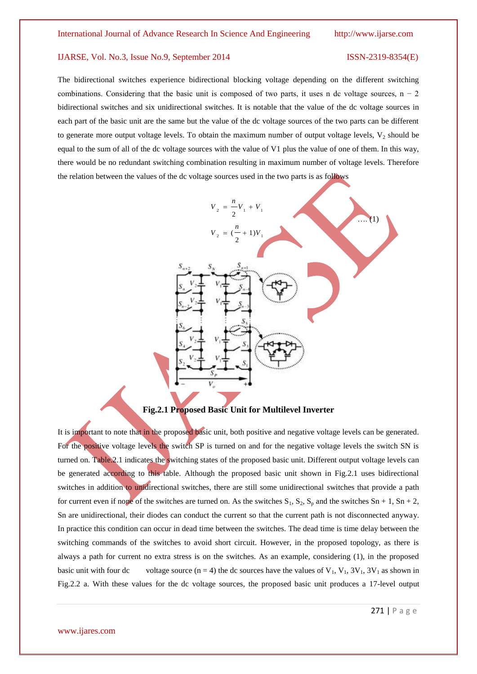The bidirectional switches experience bidirectional blocking voltage depending on the different switching combinations. Considering that the basic unit is composed of two parts, it uses n dc voltage sources,  $n - 2$ bidirectional switches and six unidirectional switches. It is notable that the value of the dc voltage sources in each part of the basic unit are the same but the value of the dc voltage sources of the two parts can be different to generate more output voltage levels. To obtain the maximum number of output voltage levels,  $V_2$  should be equal to the sum of all of the dc voltage sources with the value of V1 plus the value of one of them. In this way, there would be no redundant switching combination resulting in maximum number of voltage levels. Therefore the relation between the values of the dc voltage sources used in the two parts is as follows



**Fig.2.1 Proposed Basic Unit for Multilevel Inverter**

It is important to note that in the proposed basic unit, both positive and negative voltage levels can be generated. For the positive voltage levels the switch SP is turned on and for the negative voltage levels the switch SN is turned on. Table.2.1 indicates the switching states of the proposed basic unit. Different output voltage levels can be generated according to this table. Although the proposed basic unit shown in Fig.2.1 uses bidirectional switches in addition to unidirectional switches, there are still some unidirectional switches that provide a path for current even if none of the switches are turned on. As the switches  $S_1$ ,  $S_2$ ,  $S_p$  and the switches  $Sn + 1$ ,  $Sn + 2$ , Sn are unidirectional, their diodes can conduct the current so that the current path is not disconnected anyway. In practice this condition can occur in dead time between the switches. The dead time is time delay between the switching commands of the switches to avoid short circuit. However, in the proposed topology, as there is always a path for current no extra stress is on the switches. As an example, considering (1), in the proposed basic unit with four dc voltage source  $(n = 4)$  the dc sources have the values of  $V_1$ ,  $V_1$ ,  $3V_1$ ,  $3V_1$  as shown in Fig.2.2 a. With these values for the dc voltage sources, the proposed basic unit produces a 17-level output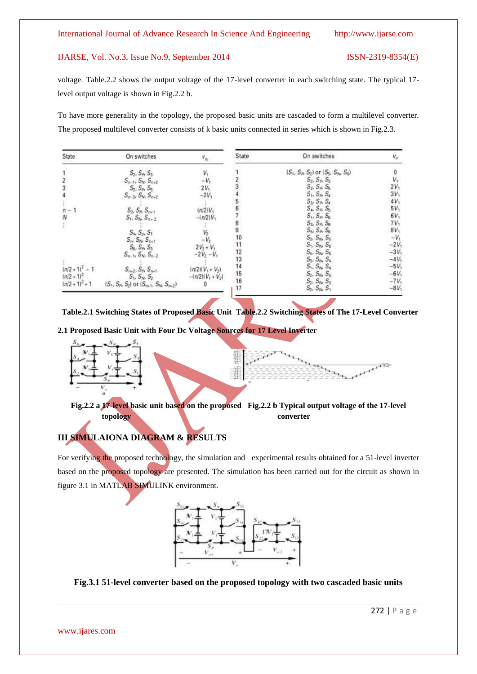voltage. Table.2.2 shows the output voltage of the 17-level converter in each switching state. The typical 17 level output voltage is shown in Fig.2.2 b.

To have more generality in the topology, the proposed basic units are cascaded to form a multilevel converter. The proposed multilevel converter consists of k basic units connected in series which is shown in Fig.2.3.

| State             | On switches                                  |                     | State           | On switches                            | $V_{\odot}$ |
|-------------------|----------------------------------------------|---------------------|-----------------|----------------------------------------|-------------|
|                   | $S_2, S_3, S_3$                              |                     |                 | $(S_1, S_2, S_2)$ or $(S_5, S_3, S_6)$ |             |
|                   | $S_{n-1}$ , $S_{16}$ , $S_{n+2}$             |                     |                 | $S_2, S_4, S_3$                        | $V_1$       |
|                   | $S_2, S_P, S_5$                              | $2V_1$              |                 | $S_2, S_3, S_5$                        | 2V          |
|                   | $S_{n-3}$ , $S_{n}$ , $S_{n+2}$              | $-2V$               |                 | $S_1, S_4, S_4$                        | 3V          |
|                   |                                              |                     |                 | $S_3, S_4, S_4$                        | $4V_1$      |
|                   | $S_2$ , $S_3$ , $S_{n+1}$                    | $(n/2)V_2$          |                 | $S_4$ , $S_5$                          | 5V,         |
| Ν                 | $S_1, S_N, S_{n+1}$                          | $-ln(2)V_1$         |                 | $S_1$ , $S_A$ , $S_B$                  | 6V          |
| 妾                 |                                              |                     | 8               | $S_3$ , $S_6$ , $S_6$                  | $7V_1$      |
|                   | $S_4$ , $S_6$ , $S_1$                        |                     | 9               | $S_5$ , $S_6$ , $S_6$                  | $8V_1$      |
|                   | $S_{\text{rs}}S_{\text{N}}S_{\text{net}}$    |                     | 10              | $S_3$ , $S_N$ , $S_6$                  | $-V_1$      |
|                   | $S_6, S_7, S_3$                              | $2V_2 + V_1$        | 11              | $S_1, S_N, S_6$                        | $-2V_1$     |
|                   | $S_{n-1}$ , $S_{n}$ , $S_{n-2}$              | $-2V_2 - V_1$       |                 | $S_4$ , $S_N$ , $S_5$                  | $-3V1$      |
|                   |                                              |                     | $\frac{12}{13}$ | $S_3$ , $S_N$ , $S_4$                  | $-4V_1$     |
| $(n/2 + 1)^2 - 1$ | $S_{n+2}$ , $S_{p_1} S_{n+1}$                | $(n/2)(V_1 + V_2)$  | 14              | $S_1, S_N, S_4$                        | $-5V_1$     |
| $(n/2 + 1)^2$     | $S_1, S_{10}, S_2$                           | $-1n(2)(V_1 + V_2)$ | 15              | $S_2$ , $S_N$ , $S_S$                  | $-6V_1$     |
| $(n/2 + 1)^2 + 1$ | $(S_1, S_2, S_2)$ or $(S_{m1}, S_N, S_{m2})$ |                     | 16              | $S_2, S_N, S_3$                        | $-7V_1$     |
|                   |                                              |                     |                 | $S_2, S_N, S_1$                        | $-8V_1$     |

 **Table.2.1 Switching States of Proposed Basic Unit Table.2.2 Switching States of The 17-Level Converter** 

**2.1 Proposed Basic Unit with Four Dc Voltage Sources for 17 Level Inverter**





**Fig.2.2 a 17-level basic unit based on the proposed Fig.2.2 b Typical output voltage of the 17-level topology** converter

### **III SIMULAIONA DIAGRAM & RESULTS**

For verifying the proposed technology, the simulation and experimental results obtained for a 51-level inverter based on the proposed topology are presented. The simulation has been carried out for the circuit as shown in figure 3.1 in MATLAB SIMULINK environment.



**Fig.3.1 51-level converter based on the proposed topology with two cascaded basic units**

www.ijares.com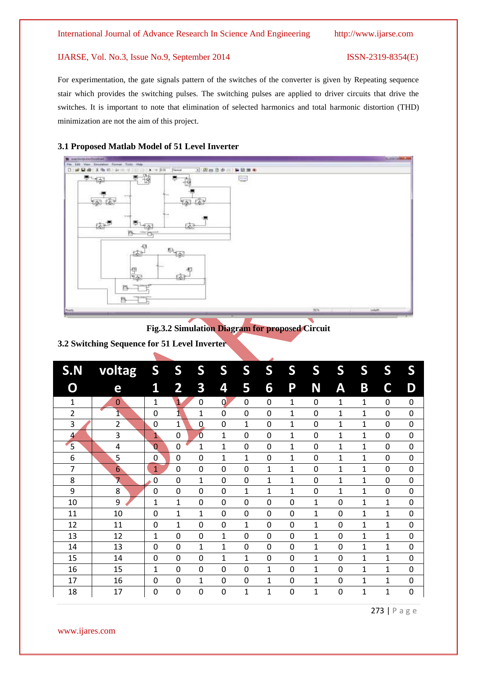For experimentation, the gate signals pattern of the switches of the converter is given by Repeating sequence stair which provides the switching pulses. The switching pulses are applied to driver circuits that drive the switches. It is important to note that elimination of selected harmonics and total harmonic distortion (THD) minimization are not the aim of this project.

#### **3.1 Proposed Matlab Model of 51 Level Inverter**



### **Fig.3.2 Simulation Diagram for proposed Circuit**

**3.2 Switching Sequence for 51 Level Inverter**

| S.N          | voltag | S              | S                       | S              | S            | S           | S              | S           | S            | S                | S            | S              | S           |
|--------------|--------|----------------|-------------------------|----------------|--------------|-------------|----------------|-------------|--------------|------------------|--------------|----------------|-------------|
| 0            | e      | 1              | $\overline{\mathbf{2}}$ | 3              | 4            | 5           | 6              | P           | N            | Α                | B            | C              | D           |
| $\mathbf{1}$ | 0      | $\mathbf 1$    | $\overline{\mathbf{1}}$ | $\mathbf 0$    | $\mathbf{0}$ | 0           | $\mathbf 0$    | $\mathbf 1$ | $\mathbf 0$  | 1                | $\mathbf 1$  | $\mathbf 0$    | 0           |
| 2            | 1      | 0              | 1                       | $\mathbf 1$    | $\mathbf 0$  | 0           | $\mathbf 0$    | 1           | $\mathbf 0$  | 1                | 1            | $\mathbf 0$    | 0           |
| 3            | 2      | 0              | $\mathbf{1}$            | $\overline{0}$ | $\mathbf 0$  | 1           | $\mathbf 0$    | 1           | 0            | 1                | $\mathbf{1}$ | 0              | 0           |
| 4            | 3      | $\mathbf{1}$   | $\mathbf 0$             | $\overline{0}$ | 1            | $\mathbf 0$ | $\mathbf 0$    | $\mathbf 1$ | $\mathbf 0$  | 1                | 1            | $\mathbf 0$    | $\mathbf 0$ |
| 5            | 4      | $\overline{0}$ | $\mathbf 0$             | $\mathbf 1$    | 1            | $\mathbf 0$ | $\mathbf 0$    | $\mathbf 1$ | 0            | 1                | $\mathbf 1$  | $\mathbf 0$    | 0           |
| 6            | 5      | 0              | $\mathbf 0$             | $\mathbf 0$    | $\mathbf 1$  | 1           | 0              | 1           | $\mathbf 0$  | 1                | 1            | $\mathbf 0$    | $\mathbf 0$ |
| 7            | 6      | 1              | 0                       | $\mathbf 0$    | $\mathbf 0$  | 0           | 1              | 1           | 0            | 1                | $\mathbf{1}$ | $\Omega$       | 0           |
| 8            | 7      | $\mathbf 0$    | $\overline{0}$          | $\overline{1}$ | $\mathbf 0$  | 0           | $\overline{1}$ | 1           | $\mathbf 0$  | 1                | $\mathbf{1}$ | $\overline{0}$ | 0           |
| 9            | 8      | $\mathbf{0}$   | 0                       | $\overline{0}$ | $\mathbf 0$  | 1           | 1              | 1           | 0            | 1                | 1            | $\overline{0}$ | 0           |
| 10           | 9      | 1              | 1                       | $\mathbf 0$    | $\mathbf 0$  | $\mathbf 0$ | $\mathbf 0$    | 0           | 1            | 0                | 1            | $\mathbf{1}$   | 0           |
| 11           | 10     | 0              | $\mathbf{1}$            | 1              | $\mathbf 0$  | $\mathbf 0$ | $\mathbf 0$    | 0           | $\mathbf{1}$ | 0                | $\mathbf{1}$ | 1              | 0           |
| 12           | 11     | 0              | 1                       | $\mathbf 0$    | $\mathbf 0$  | $\mathbf 1$ | $\mathbf 0$    | 0           | 1            | $\boldsymbol{0}$ | 1            | $\mathbf 1$    | $\mathbf 0$ |
| 13           | 12     | 1              | $\mathbf 0$             | 0              | 1            | 0           | $\mathbf 0$    | 0           | 1            | 0                | 1            | 1              | 0           |
| 14           | 13     | 0              | $\mathbf 0$             | 1              | $\mathbf 1$  | 0           | 0              | 0           | 1            | 0                | 1            | 1              | 0           |
| 15           | 14     | 0              | $\mathbf 0$             | $\mathbf 0$    | 1            | 1           | $\mathbf 0$    | 0           | 1            | 0                | 1            | 1              | 0           |
| 16           | 15     | 1              | $\mathbf 0$             | 0              | $\mathbf 0$  | 0           | $\mathbf{1}$   | 0           | 1            | 0                | 1            | 1              | 0           |
| 17           | 16     | 0              | $\mathbf 0$             | $\mathbf 1$    | 0            | $\mathbf 0$ | 1              | 0           | 1            | 0                | 1            | 1              | 0           |
| 18           | 17     | 0              | 0                       | $\overline{0}$ | $\mathbf 0$  | 1           | $\mathbf{1}$   | 0           | $\mathbf{1}$ | $\mathbf 0$      | 1            | 1              | $\mathbf 0$ |

273 | P a g e

www.ijares.com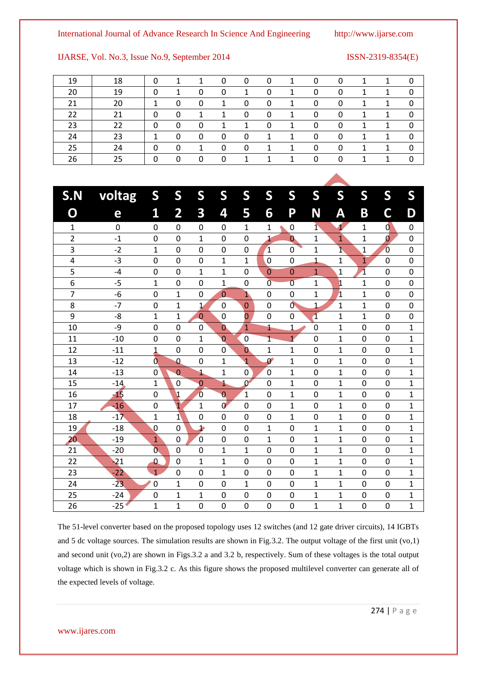### International Journal of Advance Research In Science And Engineering http://www.ijarse.com

### IJARSE, Vol. No.3, Issue No.9, September 2014 ISSN-2319-8354(E)

|  |  |  | 0 0 1 0 0 1 1 0 |
|--|--|--|-----------------|

| 19 | 18 |   |   |   | 0 | 0 | 0  | 1 | 0 | 0 |  |   |
|----|----|---|---|---|---|---|----|---|---|---|--|---|
| 20 | 19 | 0 |   | 0 | 0 |   | 0  | 1 | 0 | 0 |  | 0 |
| 21 | 20 |   | 0 | 0 |   | 0 | 0  |   | 0 | 0 |  | 0 |
| 22 | 21 | 0 | 0 |   |   | 0 | 0  | 1 | 0 | 0 |  | 0 |
| 23 | 22 | 0 | 0 | 0 |   |   | 0  |   | 0 | 0 |  | 0 |
| 24 | 23 |   | 0 | 0 | 0 | 0 | 1. |   | 0 | 0 |  | 0 |
| 25 | 24 | 0 | 0 |   | 0 | 0 |    |   | 0 | 0 |  | 0 |
| 26 | 25 |   | 0 | 0 | 0 |   |    |   | 0 | 0 |  | 0 |

| S.N            | voltag      | S                | S                       | S              | S                | S                     | S                     | S              | S                       | S              | S                       | S              | S                |
|----------------|-------------|------------------|-------------------------|----------------|------------------|-----------------------|-----------------------|----------------|-------------------------|----------------|-------------------------|----------------|------------------|
| $\mathbf O$    | е           | 1                | $\overline{\mathbf{2}}$ | 3              | 4                | 5                     | 6                     | P              | N                       | Α              | B                       | C              | D                |
| 1              | $\mathbf 0$ | $\mathbf 0$      | 0                       | 0              | 0                | 1                     | 1                     | 0              | $\mathbf{1}$            | 1              | 1                       | d              | $\mathbf 0$      |
| $\overline{c}$ | $-1$        | 0                | $\mathbf 0$             | $\mathbf{1}$   | $\mathbf 0$      | 0                     | $\overline{1}$        | $\bf{0}$       | $\mathbf{1}$            | $\overline{1}$ | $\mathbf 1$             | Ø              | $\mathbf 0$      |
| 3              | $-2$        | $\mathbf 1$      | $\mathbf 0$             | $\mathbf 0$    | $\mathbf 0$      | $\boldsymbol{0}$      | $\mathbf{1}$          | $\mathbf 0$    | 1                       | ī,             | $\mathbf{1}$            | $\overline{0}$ | $\mathbf 0$      |
| 4              | $-3$        | $\boldsymbol{0}$ | $\mathbf 0$             | $\mathbf 0$    | $\mathbf 1$      | $\mathbf 1$           | $\overline{0}$        | $\mathbf 0$    | $\mathbf{1}$            | 1              | $\overline{1}$          | $\mathbf 0$    | $\boldsymbol{0}$ |
| 5              | $-4$        | $\mathbf 0$      | $\mathbf 0$             | $\mathbf{1}$   | $\mathbf 1$      | $\mathbf 0$           | $\mathbf 0$           | $\mathbf{0}$   | $\mathbf{1}$            | $\mathbf{1}$   | $\overline{\mathbf{1}}$ | $\mathbf 0$    | $\mathbf 0$      |
| 6              | $-5$        | $\mathbf 1$      | 0                       | $\mathbf 0$    | $\mathbf 1$      | $\mathbf 0$           | $\overline{0}$        | $\overline{0}$ | $\mathbf{1}$            | $\mathbf 1$    | $\mathbf 1$             | 0              | $\mathbf 0$      |
| 7              | $-6$        | 0                | $\mathbf{1}$            | $\mathbf 0$    | $\overline{0}$   | $\mathbf{1}$          | $\mathbf 0$           | $\mathbf 0$    | $\mathbf{1}$            | $\overline{1}$ | $\mathbf{1}$            | $\mathbf 0$    | $\mathbf 0$      |
| 8              | $-7$        | $\mathbf 0$      | $\mathbf{1}$            | $\mathbf 1$    | $\mathbf 0$      | $\mathbf 0$           | $\mathbf 0$           | $\mathbf{0}$   | $\overline{1}$          | $\mathbf{1}$   | $\mathbf{1}$            | $\mathbf 0$    | $\mathbf 0$      |
| 9              | $-8$        | $\overline{1}$   | $\mathbf{1}$            | $\overline{0}$ | $\mathbf 0$      | $\overline{0}$        | $\mathbf 0$           | 0              | $\overline{\mathbf{1}}$ | $\mathbf{1}$   | $\mathbf{1}$            | $\mathbf 0$    | $\mathbf 0$      |
| 10             | -9          | $\mathbf 0$      | $\mathbf 0$             | $\mathbf 0$    | $\mathbf{0}$     | 1                     | 1                     | $\overline{1}$ | $\mathbf 0$             | $\mathbf{1}$   | $\mathbf 0$             | 0              | $\mathbf{1}$     |
| 11             | $-10$       | $\mathbf 0$      | $\overline{0}$          | $\mathbf{1}$   | 0                | $\mathbf 0$           | 1                     | $\overline{1}$ | $\overline{0}$          | $\mathbf{1}$   | $\mathbf 0$             | 0              | $\mathbf{1}$     |
| 12             | $-11$       | $\overline{1}$   | 0                       | $\mathbf 0$    | 0                | $\mathbf{0}$          | $\overline{1}$        | $\mathbf{1}$   | $\mathbf 0$             | $\mathbf{1}$   | $\mathbf 0$             | 0              | $\mathbf 1$      |
| 13             | $-12$       | $\overline{0}$   | $\Omega$                | $\mathbf 0$    | $\mathbf{1}$     | $\overline{1}$        | $\boldsymbol{\theta}$ | $\mathbf{1}$   | $\overline{0}$          | $\mathbf{1}$   | $\mathbf 0$             | $\overline{0}$ | 1                |
| 14             | $-13$       | 0                | $\overline{0}$          | J.             | $\overline{1}$   | 0                     | $\mathbf 0$           | $\mathbf{1}$   | $\overline{0}$          | $\mathbf{1}$   | $\mathbf 0$             | 0              | $\mathbf{1}$     |
| 15             | $-14$       | 1                | $\mathbf 0$             | $\overline{0}$ | 1                | $\mathbf{0}^{\prime}$ | $\mathbf 0$           | $\mathbf{1}$   | $\mathbf 0$             | $\mathbf{1}$   | $\mathbf 0$             | $\overline{0}$ | $\mathbf 1$      |
| 16             | $-15$       | 0                | $\mathbf 1$             | $\overline{0}$ | $\overline{0}$   | $\mathbf{1}$          | $\mathbf 0$           | $\mathbf{1}$   | $\mathbf 0$             | $\mathbf{1}$   | $\mathbf 0$             | 0              | 1                |
| 17             | $-16$       | $\mathbf 0$      | $\mathbf{1}$            | $\mathbf 1$    | $\boldsymbol{0}$ | $\overline{0}$        | $\mathbf 0$           | $\mathbf{1}$   | $\mathbf 0$             | 1              | $\mathbf 0$             | 0              | $\mathbf 1$      |
| 18             | $-17$       | 1                | $\mathbf{1}$            | $\overline{0}$ | 0                | $\overline{0}$        | 0                     | 1              | $\Omega$                | 1              | 0                       | 0              | 1                |
| 19             | $-18$       | 0                | 0                       | $\mathbf{P}$   | 0                | 0                     | 1                     | 0              | $\mathbf{1}$            | 1              | 0                       | 0              | 1                |
| 20             | $-19$       | $\mathbf{1}$     | 0                       | $\overline{0}$ | 0                | $\mathbf 0$           | $\mathbf 1$           | 0              | $\mathbf{1}$            | 1              | $\mathbf 0$             | 0              | $\mathbf 1$      |
| 21             | $-20$       | $\overline{0}$   | 0                       | $\mathbf 0$    | 1                | 1                     | 0                     | 0              | 1                       | $\mathbf{1}$   | $\mathbf 0$             | 0              | $\mathbf 1$      |
| 22             | $-21$       | 0                | 0                       | $\mathbf 1$    | 1                | 0                     | 0                     | $\mathbf 0$    | 1                       | 1              | 0                       | 0              | $\mathbf 1$      |
| 23             | $-22$       | 1                | 0                       | $\mathbf 0$    | $\mathbf 1$      | 0                     | $\mathbf 0$           | $\mathbf 0$    | $\mathbf{1}$            | $\mathbf{1}$   | $\mathbf 0$             | 0              | $\mathbf 1$      |
| 24             | $-23$       | $\mathbf 0$      | $\mathbf{1}$            | $\mathbf 0$    | $\mathbf 0$      | $\mathbf{1}$          | $\mathbf 0$           | $\mathbf 0$    | $\mathbf{1}$            | $\mathbf{1}$   | $\mathbf 0$             | 0              | $\mathbf 1$      |
| 25             | $-24$       | $\mathbf 0$      | $\mathbf{1}$            | $\mathbf{1}$   | $\mathbf 0$      | $\mathbf 0$           | $\mathbf 0$           | $\mathbf 0$    | $\mathbf{1}$            | $\mathbf{1}$   | $\mathbf 0$             | 0              | $\mathbf 1$      |
| 26             | $-25$       | $\mathbf 1$      | $\mathbf{1}$            | $\mathbf 0$    | $\mathbf 0$      | $\mathbf 0$           | 0                     | $\mathbf 0$    | $\mathbf{1}$            | $\mathbf{1}$   | 0                       | 0              | $\mathbf 1$      |

The 51-level converter based on the proposed topology uses 12 switches (and 12 gate driver circuits), 14 IGBTs and 5 dc voltage sources. The simulation results are shown in Fig.3.2. The output voltage of the first unit (vo,1) and second unit (vo,2) are shown in Figs.3.2 a and 3.2 b, respectively. Sum of these voltages is the total output voltage which is shown in Fig.3.2 c. As this figure shows the proposed multilevel converter can generate all of the expected levels of voltage.

#### www.ijares.com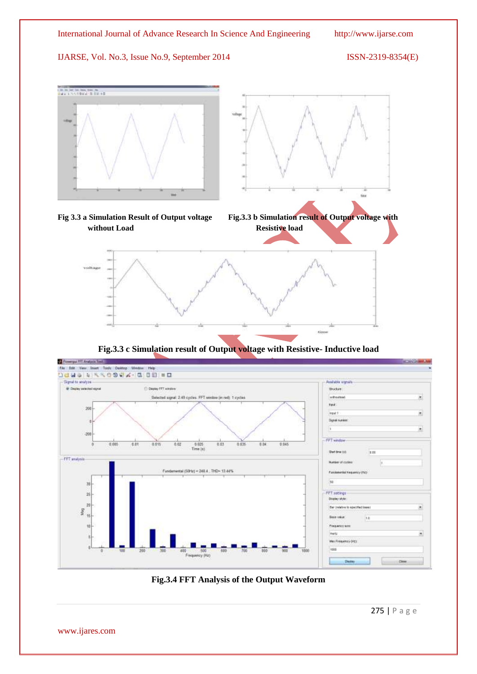

**Fig.3.3 c Simulation result of Output voltage with Resistive- Inductive load**



**Fig.3.4 FFT Analysis of the Output Waveform** 

275 | P a g e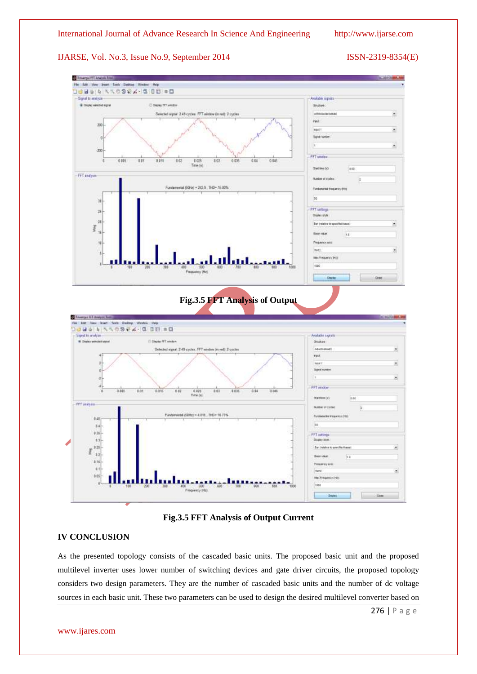

#### **Fig.3.5 FFT Analysis of Output Current**

#### **IV CONCLUSION**

As the presented topology consists of the cascaded basic units. The proposed basic unit and the proposed multilevel inverter uses lower number of switching devices and gate driver circuits, the proposed topology considers two design parameters. They are the number of cascaded basic units and the number of dc voltage sources in each basic unit. These two parameters can be used to design the desired multilevel converter based on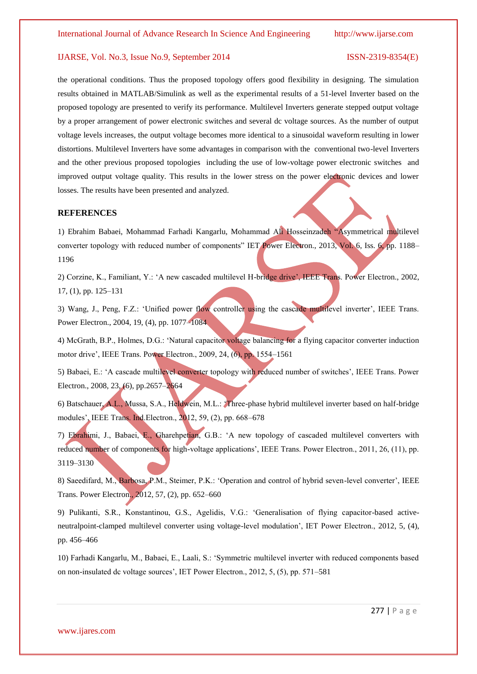the operational conditions. Thus the proposed topology offers good flexibility in designing. The simulation results obtained in MATLAB/Simulink as well as the experimental results of a 51-level Inverter based on the proposed topology are presented to verify its performance. Multilevel Inverters generate stepped output voltage by a proper arrangement of power electronic switches and several dc voltage sources. As the number of output voltage levels increases, the output voltage becomes more identical to a sinusoidal waveform resulting in lower distortions. Multilevel Inverters have some advantages in comparison with the conventional two-level Inverters and the other previous proposed topologies including the use of low-voltage power electronic switches and improved output voltage quality. This results in the lower stress on the power electronic devices and lower losses. The results have been presented and analyzed.

#### **REFERENCES**

1) Ebrahim Babaei, Mohammad Farhadi Kangarlu, Mohammad Ali Hosseinzadeh "Asymmetrical multilevel converter topology with reduced number of components" IET Power Electron., 2013, Vol. 6, Iss. 6, pp. 1188– 1196

2) Corzine, K., Familiant, Y.: "A new cascaded multilevel H-bridge drive", IEEE Trans. Power Electron., 2002, 17, (1), pp. 125–131

3) Wang, J., Peng, F.Z.: "Unified power flow controller using the cascade multilevel inverter", IEEE Trans. Power Electron., 2004, 19, (4), pp. 1077–1084

4) McGrath, B.P., Holmes, D.G.: "Natural capacitor voltage balancing for a flying capacitor converter induction motor drive', IEEE Trans. Power Electron., 2009, 24, (6), pp. 1554–1561

5) Babaei, E.: 'A cascade multilevel converter topology with reduced number of switches', IEEE Trans. Power Electron., 2008, 23, (6), pp.2657–2664

6) Batschauer, A.L., Mussa, S.A., Heldwein, M.L.: "Three-phase hybrid multilevel inverter based on half-bridge modules", IEEE Trans. Ind.Electron., 2012, 59, (2), pp. 668–678

7) Ebrahimi, J., Babaei, E., Gharehpetian, G.B.: "A new topology of cascaded multilevel converters with reduced number of components for high-voltage applications", IEEE Trans. Power Electron., 2011, 26, (11), pp. 3119–3130

8) Saeedifard, M., Barbosa, P.M., Steimer, P.K.: "Operation and control of hybrid seven-level converter", IEEE Trans. Power Electron., 2012, 57, (2), pp. 652–660

9) Pulikanti, S.R., Konstantinou, G.S., Agelidis, V.G.: "Generalisation of flying capacitor-based activeneutralpoint-clamped multilevel converter using voltage-level modulation", IET Power Electron., 2012, 5, (4), pp. 456–466

10) Farhadi Kangarlu, M., Babaei, E., Laali, S.: "Symmetric multilevel inverter with reduced components based on non-insulated dc voltage sources", IET Power Electron., 2012, 5, (5), pp. 571–581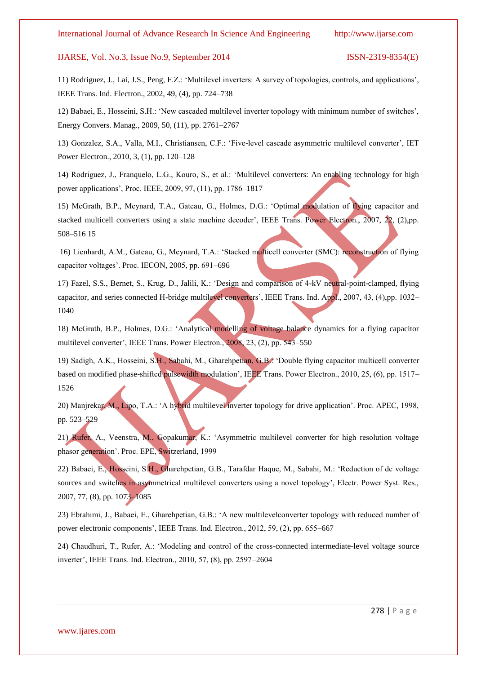11) Rodriguez, J., Lai, J.S., Peng, F.Z.: "Multilevel inverters: A survey of topologies, controls, and applications", IEEE Trans. Ind. Electron., 2002, 49, (4), pp. 724–738

12) Babaei, E., Hosseini, S.H.: "New cascaded multilevel inverter topology with minimum number of switches", Energy Convers. Manag., 2009, 50, (11), pp. 2761–2767

13) Gonzalez, S.A., Valla, M.I., Christiansen, C.F.: "Five-level cascade asymmetric multilevel converter", IET Power Electron., 2010, 3, (1), pp. 120–128

14) Rodriguez, J., Franquelo, L.G., Kouro, S., et al.: "Multilevel converters: An enabling technology for high power applications", Proc. IEEE, 2009, 97, (11), pp. 1786–1817

15) McGrath, B.P., Meynard, T.A., Gateau, G., Holmes, D.G.: "Optimal modulation of flying capacitor and stacked multicell converters using a state machine decoder", IEEE Trans. Power Electron., 2007, 22, (2),pp. 508–516 15

16) Lienhardt, A.M., Gateau, G., Meynard, T.A.: "Stacked multicell converter (SMC): reconstruction of flying capacitor voltages". Proc. IECON, 2005, pp. 691–696

17) Fazel, S.S., Bernet, S., Krug, D., Jalili, K.: "Design and comparison of 4-kV neutral-point-clamped, flying capacitor, and series connected H-bridge multilevel converters', IEEE Trans. Ind. Appl., 2007, 43, (4),pp. 1032– 1040

18) McGrath, B.P., Holmes, D.G.: "Analytical modelling of voltage balance dynamics for a flying capacitor multilevel converter', IEEE Trans. Power Electron., 2008, 23, (2), pp. 543–550

19) Sadigh, A.K., Hosseini, S.H., Sabahi, M., Gharehpetian, G.B.: "Double flying capacitor multicell converter based on modified phase-shifted pulsewidth modulation', IEEE Trans. Power Electron., 2010, 25, (6), pp. 1517– 1526

20) Manjrekar, M., Lipo, T.A.: "A hybrid multilevel inverter topology for drive application". Proc. APEC, 1998, pp. 523–529

21) Rufer, A., Veenstra, M., Gopakumar, K.: "Asymmetric multilevel converter for high resolution voltage phasor generation". Proc. EPE, Switzerland, 1999

22) Babaei, E., Hosseini, S.H., Gharehpetian, G.B., Tarafdar Haque, M., Sabahi, M.: "Reduction of dc voltage sources and switches in asymmetrical multilevel converters using a novel topology", Electr. Power Syst. Res., 2007, 77, (8), pp. 1073–1085

23) Ebrahimi, J., Babaei, E., Gharehpetian, G.B.: "A new multilevelconverter topology with reduced number of power electronic components', IEEE Trans. Ind. Electron., 2012, 59, (2), pp. 655-667

24) Chaudhuri, T., Rufer, A.: "Modeling and control of the cross-connected intermediate-level voltage source inverter", IEEE Trans. Ind. Electron., 2010, 57, (8), pp. 2597–2604